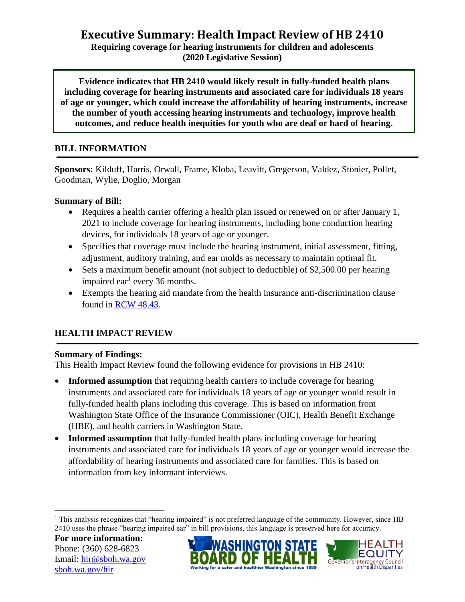# **Executive Summary: Health Impact Review of HB 2410**

**Requiring coverage for hearing instruments for children and adolescents (2020 Legislative Session)**

**Evidence indicates that HB 2410 would likely result in fully-funded health plans including coverage for hearing instruments and associated care for individuals 18 years of age or younger, which could increase the affordability of hearing instruments, increase the number of youth accessing hearing instruments and technology, improve health outcomes, and reduce health inequities for youth who are deaf or hard of hearing.**

#### **BILL INFORMATION**

**Sponsors:** Kilduff, Harris, Orwall, Frame, Kloba, Leavitt, Gregerson, Valdez, Stonier, Pollet, Goodman, Wylie, Doglio, Morgan

#### **Summary of Bill:**

- Requires a health carrier offering a health plan issued or renewed on or after January 1, 2021 to include coverage for hearing instruments, including bone conduction hearing devices, for individuals 18 years of age or younger.
- Specifies that coverage must include the hearing instrument, initial assessment, fitting, adjustment, auditory training, and ear molds as necessary to maintain optimal fit.
- Sets a maximum benefit amount (not subject to deductible) of \$2,500.00 per hearing impaired ear<sup>1</sup> every 36 months.
- Exempts the hearing aid mandate from the health insurance anti-discrimination clause found in [RCW 48.43.](https://app.leg.wa.gov/rcw/default.aspx?cite=48.43)

### **HEALTH IMPACT REVIEW**

### **Summary of Findings:**

This Health Impact Review found the following evidence for provisions in HB 2410:

- **Informed assumption** that requiring health carriers to include coverage for hearing instruments and associated care for individuals 18 years of age or younger would result in fully-funded health plans including this coverage. This is based on information from Washington State Office of the Insurance Commissioner (OIC), Health Benefit Exchange (HBE), and health carriers in Washington State.
- **Informed assumption** that fully-funded health plans including coverage for hearing instruments and associated care for individuals 18 years of age or younger would increase the affordability of hearing instruments and associated care for families. This is based on information from key informant interviews.

 $\overline{a}$ 





 $1$  This analysis recognizes that "hearing impaired" is not preferred language of the community. However, since HB 2410 uses the phrase "hearing impaired ear" in bill provisions, this language is preserved here for accuracy.